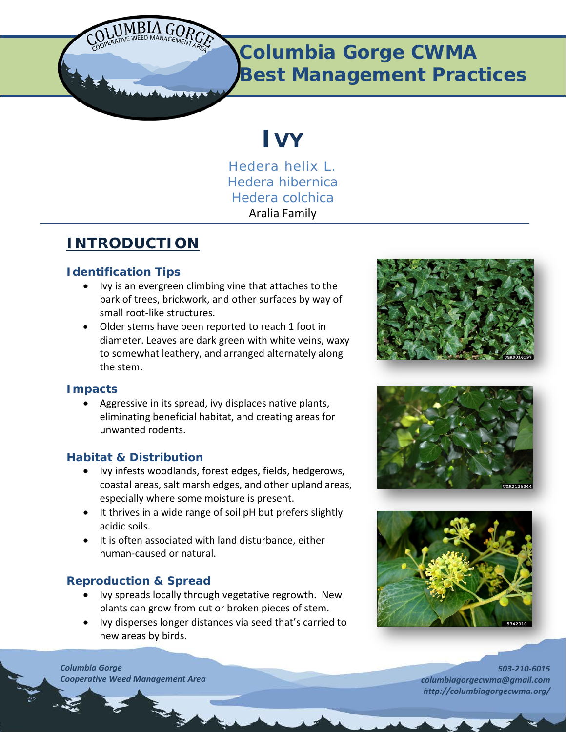

## **Columbia Gorge CWMA Best Management Practices**

# **IVY**

*Hedera helix L. Hedera hibernica Hedera colchica* Aralia Family

### **INTRODUCTION**

#### **Identification Tips**

- Ivy is an evergreen climbing vine that attaches to the bark of trees, brickwork, and other surfaces by way of small root-like structures.
- Older stems have been reported to reach 1 foot in diameter. Leaves are dark green with white veins, waxy to somewhat leathery, and arranged alternately along the stem.

#### **Impacts**

• Aggressive in its spread, ivy displaces native plants, eliminating beneficial habitat, and creating areas for unwanted rodents.

#### **Habitat & Distribution**

- Ivy infests woodlands, forest edges, fields, hedgerows, coastal areas, salt marsh edges, and other upland areas, especially where some moisture is present.
- It thrives in a wide range of soil pH but prefers slightly acidic soils.
- It is often associated with land disturbance, either human-caused or natural.

#### **Reproduction & Spread**

- Ivy spreads locally through vegetative regrowth. New plants can grow from cut or broken pieces of stem.
- Ivy disperses longer distances via seed that's carried to new areas by birds.







*503-210-6015 columbiagorgecwma@gmail.com http://columbiagorgecwma.org/*

*Columbia Gorge Cooperative Weed Management Area*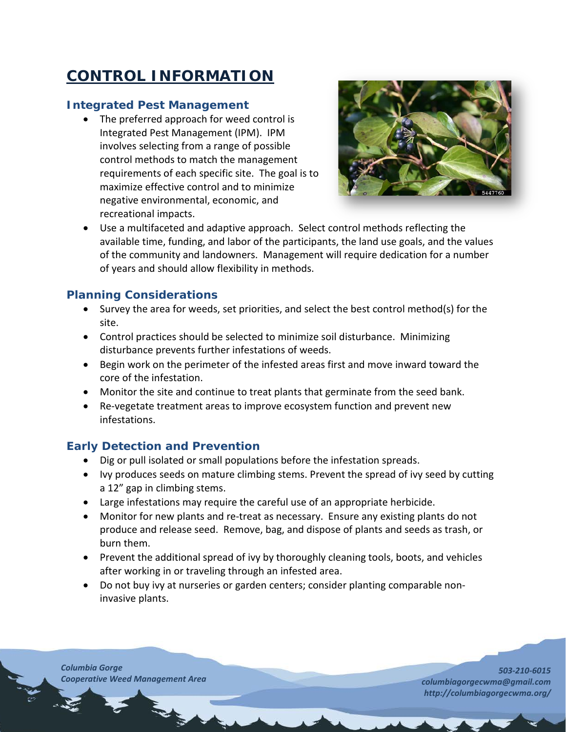## **CONTROL INFORMATION**

#### **Integrated Pest Management**

• The preferred approach for weed control is Integrated Pest Management (IPM). IPM involves selecting from a range of possible control methods to match the management requirements of each specific site. The goal is to maximize effective control and to minimize negative environmental, economic, and recreational impacts.



• Use a multifaceted and adaptive approach. Select control methods reflecting the available time, funding, and labor of the participants, the land use goals, and the values of the community and landowners. Management will require dedication for a number of years and should allow flexibility in methods.

#### **Planning Considerations**

- Survey the area for weeds, set priorities, and select the best control method(s) for the site.
- Control practices should be selected to minimize soil disturbance. Minimizing disturbance prevents further infestations of weeds.
- Begin work on the perimeter of the infested areas first and move inward toward the core of the infestation.
- Monitor the site and continue to treat plants that germinate from the seed bank.
- Re-vegetate treatment areas to improve ecosystem function and prevent new infestations.

#### **Early Detection and Prevention**

- Dig or pull isolated or small populations before the infestation spreads.
- Ivy produces seeds on mature climbing stems. Prevent the spread of ivy seed by cutting a 12" gap in climbing stems.
- Large infestations may require the careful use of an appropriate herbicide.
- Monitor for new plants and re-treat as necessary. Ensure any existing plants do not produce and release seed. Remove, bag, and dispose of plants and seeds as trash, or burn them.
- Prevent the additional spread of ivy by thoroughly cleaning tools, boots, and vehicles after working in or traveling through an infested area.
- Do not buy ivy at nurseries or garden centers; consider planting comparable noninvasive plants.

*Columbia Gorge Cooperative Weed Management Area*

*503-210-6015 columbiagorgecwma@gmail.com http://columbiagorgecwma.org/*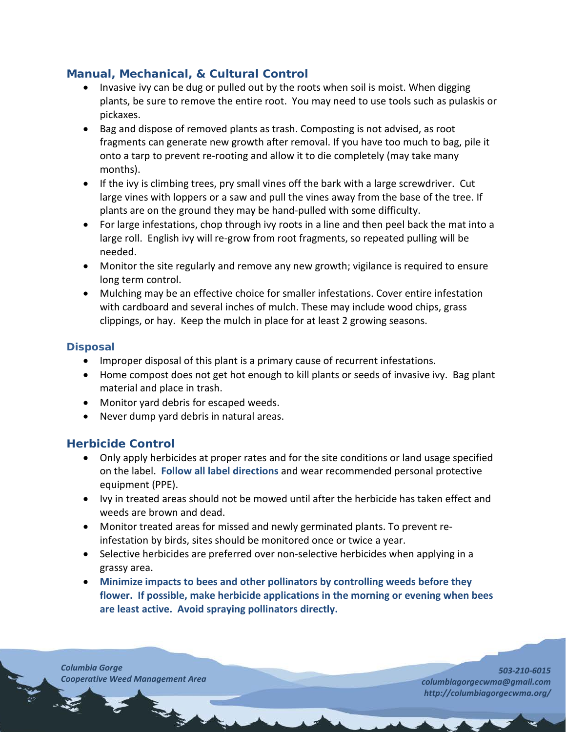#### **Manual, Mechanical, & Cultural Control**

- Invasive ivy can be dug or pulled out by the roots when soil is moist. When digging plants, be sure to remove the entire root. You may need to use tools such as pulaskis or pickaxes.
- Bag and dispose of removed plants as trash. Composting is not advised, as root fragments can generate new growth after removal. If you have too much to bag, pile it onto a tarp to prevent re-rooting and allow it to die completely (may take many months).
- If the ivy is climbing trees, pry small vines off the bark with a large screwdriver. Cut large vines with loppers or a saw and pull the vines away from the base of the tree. If plants are on the ground they may be hand-pulled with some difficulty.
- For large infestations, chop through ivy roots in a line and then peel back the mat into a large roll. English ivy will re-grow from root fragments, so repeated pulling will be needed.
- Monitor the site regularly and remove any new growth; vigilance is required to ensure long term control.
- Mulching may be an effective choice for smaller infestations. Cover entire infestation with cardboard and several inches of mulch. These may include wood chips, grass clippings, or hay. Keep the mulch in place for at least 2 growing seasons.

#### **Disposal**

- Improper disposal of this plant is a primary cause of recurrent infestations.
- Home compost does not get hot enough to kill plants or seeds of invasive ivy. Bag plant material and place in trash.
- Monitor yard debris for escaped weeds.
- Never dump yard debris in natural areas.

#### **Herbicide Control**

- Only apply herbicides at proper rates and for the site conditions or land usage specified on the label. **Follow all label directions** and wear recommended personal protective equipment (PPE).
- Ivy in treated areas should not be mowed until after the herbicide has taken effect and weeds are brown and dead.
- Monitor treated areas for missed and newly germinated plants. To prevent reinfestation by birds, sites should be monitored once or twice a year.
- Selective herbicides are preferred over non-selective herbicides when applying in a grassy area.
- **Minimize impacts to bees and other pollinators by controlling weeds before they flower. If possible, make herbicide applications in the morning or evening when bees are least active. Avoid spraying pollinators directly.**

*Columbia Gorge Cooperative Weed Management Area*

*503-210-6015 columbiagorgecwma@gmail.com http://columbiagorgecwma.org/*